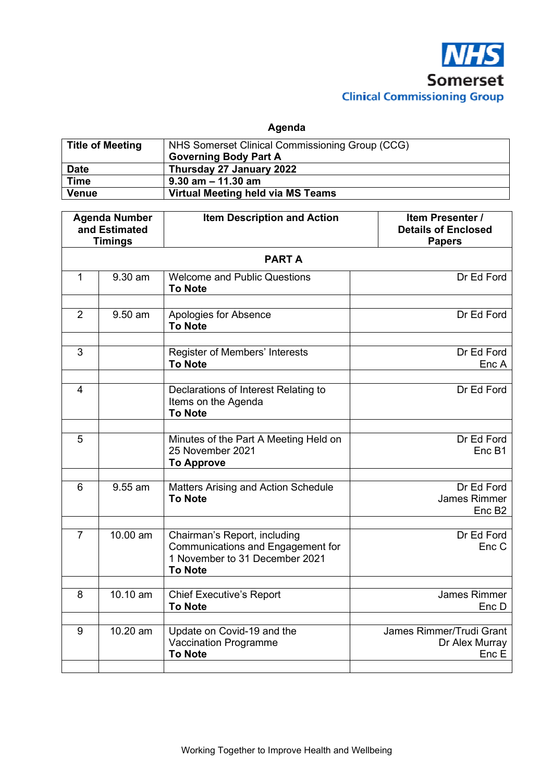

**Agenda** 

| <b>Title of Meeting</b> | NHS Somerset Clinical Commissioning Group (CCG)<br><b>Governing Body Part A</b> |
|-------------------------|---------------------------------------------------------------------------------|
| <b>Date</b>             | Thursday 27 January 2022                                                        |
| <b>Time</b>             | $9.30$ am $-11.30$ am                                                           |
| <b>Venue</b>            | Virtual Meeting held via MS Teams                                               |

| <b>Agenda Number</b><br>and Estimated<br><b>Timings</b> |                        | <b>Item Description and Action</b>                                                                                    | Item Presenter /<br><b>Details of Enclosed</b><br><b>Papers</b> |  |
|---------------------------------------------------------|------------------------|-----------------------------------------------------------------------------------------------------------------------|-----------------------------------------------------------------|--|
| <b>PARTA</b>                                            |                        |                                                                                                                       |                                                                 |  |
| $\mathbf{1}$                                            | 9.30 am                | <b>Welcome and Public Questions</b><br><b>To Note</b>                                                                 | Dr Ed Ford                                                      |  |
| $\overline{2}$                                          | 9.50 am                | Apologies for Absence<br><b>To Note</b>                                                                               | Dr Ed Ford                                                      |  |
| 3                                                       |                        | Register of Members' Interests<br><b>To Note</b>                                                                      | Dr Ed Ford<br>Enc A                                             |  |
| $\overline{4}$                                          |                        | Declarations of Interest Relating to<br>Items on the Agenda<br><b>To Note</b>                                         | Dr Ed Ford                                                      |  |
| 5                                                       |                        | Minutes of the Part A Meeting Held on<br>25 November 2021<br><b>To Approve</b>                                        | Dr Ed Ford<br>Enc B1                                            |  |
| $6\phantom{1}$                                          | 9.55 am                | <b>Matters Arising and Action Schedule</b><br><b>To Note</b>                                                          | Dr Ed Ford<br><b>James Rimmer</b><br>Enc B <sub>2</sub>         |  |
| $\overline{7}$                                          | $\overline{10}$ .00 am | Chairman's Report, including<br>Communications and Engagement for<br>1 November to 31 December 2021<br><b>To Note</b> | Dr Ed Ford<br>Enc C                                             |  |
| 8                                                       | 10.10 am               | <b>Chief Executive's Report</b><br><b>To Note</b>                                                                     | James Rimmer<br>Enc D                                           |  |
| 9                                                       | 10.20 am               | Update on Covid-19 and the<br><b>Vaccination Programme</b><br><b>To Note</b>                                          | James Rimmer/Trudi Grant<br>Dr Alex Murray<br>Enc E             |  |